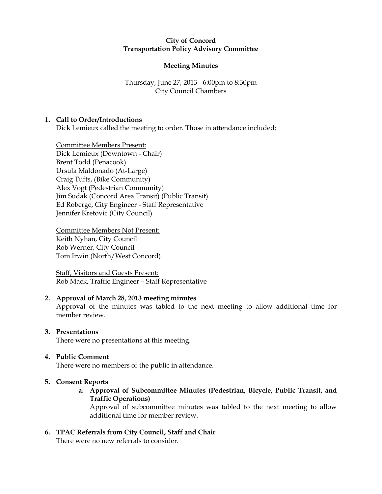# City of Concord Transportation Policy Advisory Committee

# Meeting Minutes

# Thursday, June 27, 2013 - 6:00pm to 8:30pm City Council Chambers

# 1. Call to Order/Introductions

Dick Lemieux called the meeting to order. Those in attendance included:

Committee Members Present: Dick Lemieux (Downtown - Chair) Brent Todd (Penacook) Ursula Maldonado (At-Large) Craig Tufts, (Bike Community) Alex Vogt (Pedestrian Community) Jim Sudak (Concord Area Transit) (Public Transit) Ed Roberge, City Engineer - Staff Representative Jennifer Kretovic (City Council)

Committee Members Not Present: Keith Nyhan, City Council Rob Werner, City Council Tom Irwin (North/West Concord)

Staff, Visitors and Guests Present: Rob Mack, Traffic Engineer – Staff Representative

# 2. Approval of March 28, 2013 meeting minutes

Approval of the minutes was tabled to the next meeting to allow additional time for member review.

# 3. Presentations

There were no presentations at this meeting.

# 4. Public Comment

There were no members of the public in attendance.

# 5. Consent Reports

a. Approval of Subcommittee Minutes (Pedestrian, Bicycle, Public Transit, and Traffic Operations)

Approval of subcommittee minutes was tabled to the next meeting to allow additional time for member review.

6. TPAC Referrals from City Council, Staff and Chair There were no new referrals to consider.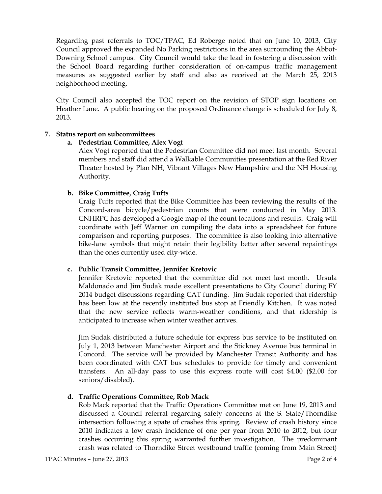Regarding past referrals to TOC/TPAC, Ed Roberge noted that on June 10, 2013, City Council approved the expanded No Parking restrictions in the area surrounding the Abbot-Downing School campus. City Council would take the lead in fostering a discussion with the School Board regarding further consideration of on-campus traffic management measures as suggested earlier by staff and also as received at the March 25, 2013 neighborhood meeting.

City Council also accepted the TOC report on the revision of STOP sign locations on Heather Lane. A public hearing on the proposed Ordinance change is scheduled for July 8, 2013.

# 7. Status report on subcommittees

#### a. Pedestrian Committee, Alex Vogt

Alex Vogt reported that the Pedestrian Committee did not meet last month. Several members and staff did attend a Walkable Communities presentation at the Red River Theater hosted by Plan NH, Vibrant Villages New Hampshire and the NH Housing Authority.

#### b. Bike Committee, Craig Tufts

Craig Tufts reported that the Bike Committee has been reviewing the results of the Concord-area bicycle/pedestrian counts that were conducted in May 2013. CNHRPC has developed a Google map of the count locations and results. Craig will coordinate with Jeff Warner on compiling the data into a spreadsheet for future comparison and reporting purposes. The committee is also looking into alternative bike-lane symbols that might retain their legibility better after several repaintings than the ones currently used city-wide.

# c. Public Transit Committee, Jennifer Kretovic

Jennifer Kretovic reported that the committee did not meet last month. Ursula Maldonado and Jim Sudak made excellent presentations to City Council during FY 2014 budget discussions regarding CAT funding. Jim Sudak reported that ridership has been low at the recently instituted bus stop at Friendly Kitchen. It was noted that the new service reflects warm-weather conditions, and that ridership is anticipated to increase when winter weather arrives.

Jim Sudak distributed a future schedule for express bus service to be instituted on July 1, 2013 between Manchester Airport and the Stickney Avenue bus terminal in Concord. The service will be provided by Manchester Transit Authority and has been coordinated with CAT bus schedules to provide for timely and convenient transfers. An all-day pass to use this express route will cost \$4.00 (\$2.00 for seniors/disabled).

# d. Traffic Operations Committee, Rob Mack

Rob Mack reported that the Traffic Operations Committee met on June 19, 2013 and discussed a Council referral regarding safety concerns at the S. State/Thorndike intersection following a spate of crashes this spring. Review of crash history since 2010 indicates a low crash incidence of one per year from 2010 to 2012, but four crashes occurring this spring warranted further investigation. The predominant crash was related to Thorndike Street westbound traffic (coming from Main Street)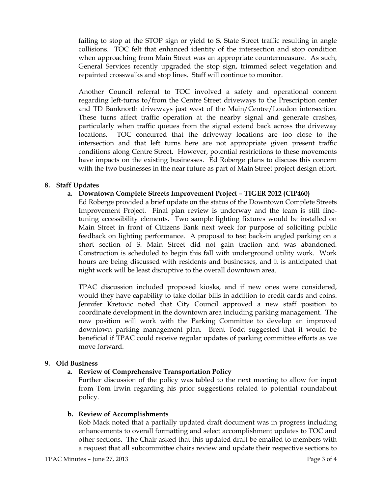failing to stop at the STOP sign or yield to S. State Street traffic resulting in angle collisions. TOC felt that enhanced identity of the intersection and stop condition when approaching from Main Street was an appropriate countermeasure. As such, General Services recently upgraded the stop sign, trimmed select vegetation and repainted crosswalks and stop lines. Staff will continue to monitor.

Another Council referral to TOC involved a safety and operational concern regarding left-turns to/from the Centre Street driveways to the Prescription center and TD Banknorth driveways just west of the Main/Centre/Loudon intersection. These turns affect traffic operation at the nearby signal and generate crashes, particularly when traffic queues from the signal extend back across the driveway locations. TOC concurred that the driveway locations are too close to the intersection and that left turns here are not appropriate given present traffic conditions along Centre Street. However, potential restrictions to these movements have impacts on the existing businesses. Ed Roberge plans to discuss this concern with the two businesses in the near future as part of Main Street project design effort.

# 8. Staff Updates

#### a. Downtown Complete Streets Improvement Project – TIGER 2012 (CIP460)

Ed Roberge provided a brief update on the status of the Downtown Complete Streets Improvement Project. Final plan review is underway and the team is still finetuning accessibility elements. Two sample lighting fixtures would be installed on Main Street in front of Citizens Bank next week for purpose of soliciting public feedback on lighting performance. A proposal to test back-in angled parking on a short section of S. Main Street did not gain traction and was abandoned. Construction is scheduled to begin this fall with underground utility work. Work hours are being discussed with residents and businesses, and it is anticipated that night work will be least disruptive to the overall downtown area.

TPAC discussion included proposed kiosks, and if new ones were considered, would they have capability to take dollar bills in addition to credit cards and coins. Jennifer Kretovic noted that City Council approved a new staff position to coordinate development in the downtown area including parking management. The new position will work with the Parking Committee to develop an improved downtown parking management plan. Brent Todd suggested that it would be beneficial if TPAC could receive regular updates of parking committee efforts as we move forward.

#### 9. Old Business

#### a. Review of Comprehensive Transportation Policy

Further discussion of the policy was tabled to the next meeting to allow for input from Tom Irwin regarding his prior suggestions related to potential roundabout policy.

#### b. Review of Accomplishments

Rob Mack noted that a partially updated draft document was in progress including enhancements to overall formatting and select accomplishment updates to TOC and other sections. The Chair asked that this updated draft be emailed to members with a request that all subcommittee chairs review and update their respective sections to